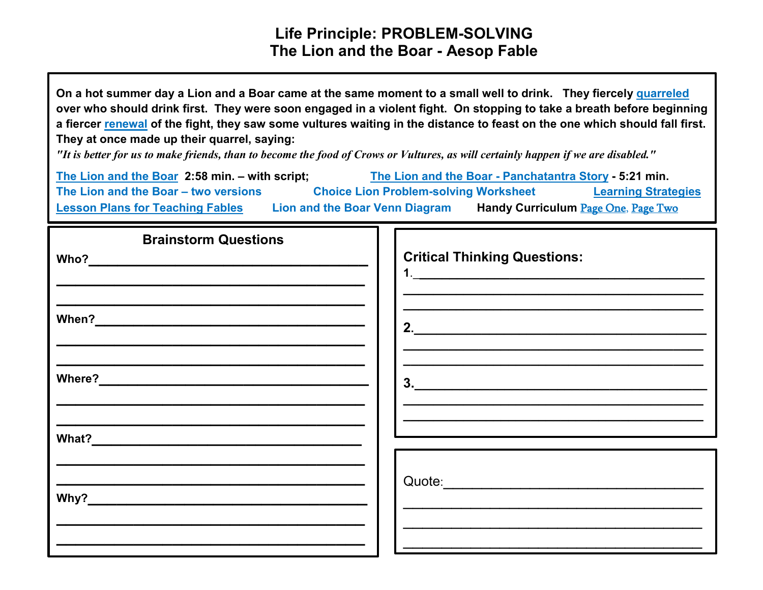## **Life Principle: PROBLEM-SOLVING The Lion and the Boar - Aesop Fable**

**On a hot summer day a Lion and a Boar came at the same moment to a small well to drink. They fiercely [quarreled](https://www.merriam-webster.com/dictionary/quarreled) over who should drink first. They were soon engaged in a violent fight. On stopping to take a breath before beginning a fiercer [renewal](http://www.merriam-webster.com/dictionary/renewal) of the fight, they saw some vultures waiting in the distance to feast on the one which should fall first. They at once made up their quarrel, saying:**

*"It is better for us to make friends, than to become the food of Crows or Vultures, as will certainly happen if we are disabled."*

| The Lion and the Boar 2:58 min. - with script: |                                              | The Lion and the Boar - Panchatantra Story - 5:21 min. |                            |
|------------------------------------------------|----------------------------------------------|--------------------------------------------------------|----------------------------|
| The Lion and the Boar - two versions           | <b>Choice Lion Problem-solving Worksheet</b> |                                                        | <b>Learning Strategies</b> |
| <b>Lesson Plans for Teaching Fables</b>        | <b>Lion and the Boar Venn Diagram</b>        | Handy Curriculum Page One, Page Two                    |                            |

| <b>Brainstorm Questions</b> |                                     |
|-----------------------------|-------------------------------------|
|                             | <b>Critical Thinking Questions:</b> |
|                             |                                     |
|                             | 2.                                  |
|                             |                                     |
|                             | 3.                                  |
|                             |                                     |
|                             |                                     |
|                             |                                     |
|                             |                                     |
|                             |                                     |
|                             |                                     |